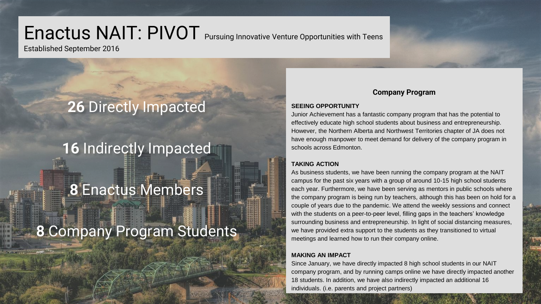# Enactus NAIT: PIVOT Pursuing Innovative Venture Opportunities with Teens

Established September 2016

## **26** Directly Impacted

### **16** Indirectly Impacted

### **8** Enactus Members

## **8** Company Program Students

### **Company Program**

### **SEEING OPPORTUNITY**

Junior Achievement has a fantastic company program that has the potential to effectively educate high school students about business and entrepreneurship. However, the Northern Alberta and Northwest Territories chapter of JA does not have enough manpower to meet demand for delivery of the company program in schools across Edmonton.

### **TAKING ACTION**

As business students, we have been running the company program at the NAIT campus for the past six years with a group of around 10-15 high school students each year. Furthermore, we have been serving as mentors in public schools where the company program is being run by teachers, although this has been on hold for a couple of years due to the pandemic. We attend the weekly sessions and connect with the students on a peer-to-peer level, filling gaps in the teachers' knowledge surrounding business and entrepreneurship. In light of social distancing measures, we have provided extra support to the students as they transitioned to virtual meetings and learned how to run their company online.

### **MAKING AN IMPACT**

Since January, we have directly impacted 8 high school students in our NAIT company program, and by running camps online we have directly impacted another 18 students. In addition, we have also indirectly impacted an additional 16 individuals. (i.e. parents and project partners)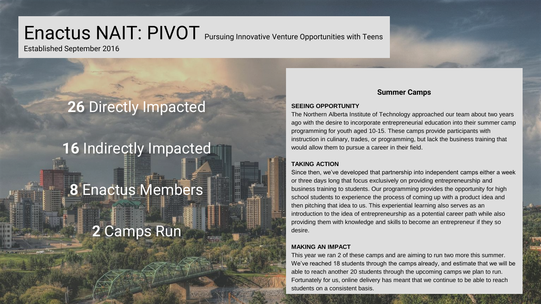# Enactus NAIT: PIVOT Pursuing Innovative Venture Opportunities with Teens

Established September 2016

## **26** Directly Impacted

### **16** Indirectly Impacted

# **8** Enactus Members

# **2** Camps Run

### **Summer Camps**

#### **SEEING OPPORTUNITY**

The Northern Alberta Institute of Technology approached our team about two years ago with the desire to incorporate entrepreneurial education into their summer camp programming for youth aged 10-15. These camps provide participants with instruction in culinary, trades, or programming, but lack the business training that would allow them to pursue a career in their field.

### **TAKING ACTION**

Since then, we've developed that partnership into independent camps either a week or three days long that focus exclusively on providing entrepreneurship and business training to students. Our programming provides the opportunity for high school students to experience the process of coming up with a product idea and then pitching that idea to us. This experiential learning also serves as an introduction to the idea of entrepreneurship as a potential career path while also providing them with knowledge and skills to become an entrepreneur if they so desire.

### **MAKING AN IMPACT**

This year we ran 2 of these camps and are aiming to run two more this summer. We've reached 18 students through the camps already, and estimate that we will be able to reach another 20 students through the upcoming camps we plan to run. Fortunately for us, online delivery has meant that we continue to be able to reach students on a consistent basis.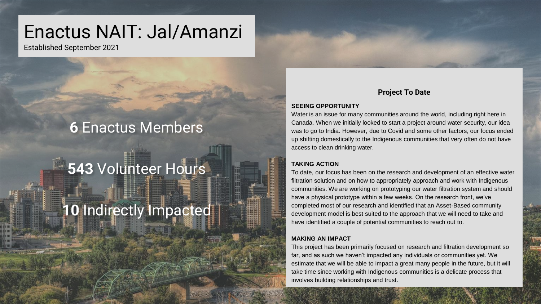# Enactus NAIT: Jal/Amanzi

Established September 2021

### **6** Enactus Members

# **543** Volunteer Hours

## **10** Indirectly Impacted

### **Project To Date**

#### **SEEING OPPORTUNITY**

Water is an issue for many communities around the world, including right here in Canada. When we initially looked to start a project around water security, our idea was to go to India. However, due to Covid and some other factors, our focus ended up shifting domestically to the Indigenous communities that very often do not have access to clean drinking water.

#### **TAKING ACTION**

To date, our focus has been on the research and development of an effective water filtration solution and on how to appropriately approach and work with Indigenous communities. We are working on prototyping our water filtration system and should have a physical prototype within a few weeks. On the research front, we've completed most of our research and identified that an Asset-Based community development model is best suited to the approach that we will need to take and have identified a couple of potential communities to reach out to.

#### **MAKING AN IMPACT**

This project has been primarily focused on research and filtration development so far, and as such we haven't impacted any individuals or communities yet. We estimate that we will be able to impact a great many people in the future, but it will take time since working with Indigenous communities is a delicate process that involves building relationships and trust.